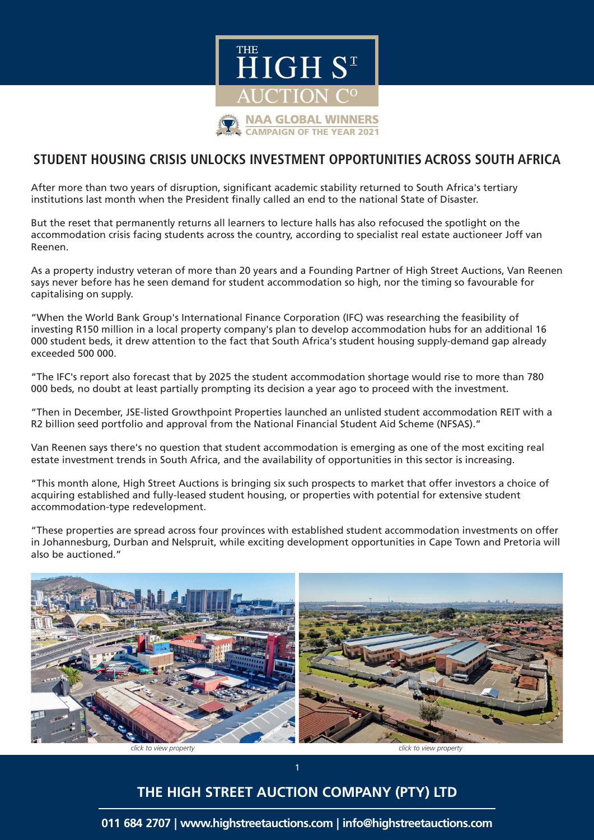

## **STUDENT HOUSING CRISIS UNLOCKS INVESTMENT OPPORTUNITIES ACROSS SOUTH AFRICA**

After more than two years of disruption, significant academic stability returned to South Africa's tertiary institutions last month when the President finally called an end to the national State of Disaster.

But the reset that permanently returns all learners to lecture halls has also refocused the spotlight on the accommodation crisis facing students across the country, according to specialist real estate auctioneer Joff van Reenen.

As a property industry veteran of more than 20 years and a Founding Partner of High Street Auctions, Van Reenen says never before has he seen demand for student accommodation so high, nor the timing so favourable for capitalising on supply.

"When the World Bank Group's International Finance Corporation (IFC) was researching the feasibility of investing R150 million in a local property company's plan to develop accommodation hubs for an additional 16 000 student beds, it drew attention to the fact that South Africa's student housing supply-demand gap already exceeded 500 000.

"The IFC's report also forecast that by 2025 the student accommodation shortage would rise to more than 780 000 beds, no doubt at least partially prompting its decision a year ago to proceed with the investment.

"Then in December, JSE-listed Growthpoint Properties launched an unlisted student accommodation REIT with a R2 billion seed portfolio and approval from the National Financial Student Aid Scheme (NFSAS)."

Van Reenen says there's no question that student accommodation is emerging as one of the most exciting real estate investment trends in South Africa, and the availability of opportunities in this sector is increasing.

"This month alone, High Street Auctions is bringing six such prospects to market that offer investors a choice of acquiring established and fully-leased student housing, or properties with potential for extensive student accommodation-type redevelopment.

"These properties are spread across four provinces with established student accommodation investments on offer in Johannesburg, Durban and Nelspruit, while exciting development opportunities in Cape Town and Pretoria will also be auctioned."



## **THE HIGH STREET AUCTION COMPANY (PTY) LTD**

1

**011 684 2707 | www.highstreetauctions.com | info@highstreetauctions.com**